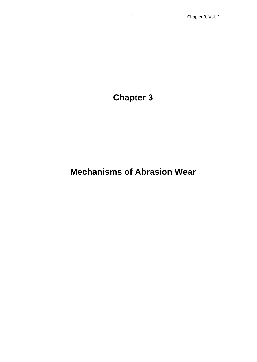# **Chapter 3**

# **Mechanisms of Abrasion Wear**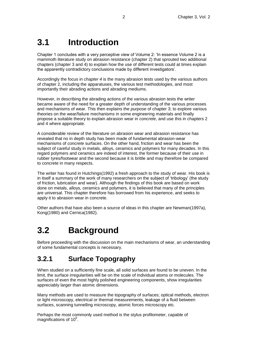# **3.1 Introduction**

Chapter 1 concludes with a very perceptive view of Volume 2: 'In essence Volume 2 is a mammoth literature study on abrasion resistance (chapter 2) that sprouted two additional chapters (chapter 3 and 4) to explain how the use of different tests could at times explain the apparently contradictory conclusions made by different investigators'.

Accordingly the focus in *chapter 4* is the many abrasion tests used by the various authors of chapter 2, including the apparatuses, the various test methodologies, and most importantly their abrading actions and abrading mediums.

However, in describing the abrading actions of the various abrasion tests the writer became aware of the need for a greater depth of understanding of the various processes and mechanisms of wear. This then explains the *purpose* of chapter 3; to explore various theories on the wear/failure mechanisms in some engineering materials and finally propose a suitable theory to explain abrasion wear in *concrete*, and use this in chapters 2 and 4 where appropriate.

A considerable review of the literature on abrasion wear and abrasion resistance has revealed that no in depth study has been made of fundamental abrasion-wear mechanisms of *concrete* surfaces. On the other hand, friction and wear has been the subject of careful study in metals, alloys, ceramics and polymers for many decades. In this regard polymers and ceramics are indeed of interest, the former because of their use in rubber tyres/footwear and the second because it is brittle and may therefore be compared to concrete in many respects.

The writer has found in Hutchings(1992) a fresh approach to the study of wear. His book is in itself a summary of the work of many researchers on the subject of 'tribology' (the study of friction, lubrication and wear). Although the findings of this book are based on work done on metals, alloys, ceramics and polymers, it is believed that many of the principles are universal. This chapter therefore has borrowed from his experience, and seeks to apply it to abrasion wear in concrete.

Other authors that have also been a source of ideas in this chapter are Newman(1997a), Kong(1980) and Cernica(1982).

# **3.2 Background**

Before proceeding with the discussion on the main mechanisms of wear, an understanding of some fundamental concepts is necessary.

## **3.2.1 Surface Topography**

When studied on a sufficiently fine scale, all solid surfaces are found to be uneven. In the limit, the surface irregularities will be on the scale of individual atoms or molecules. The surfaces of even the most highly polished engineering components, show irregularities appreciably larger than atomic dimensions.

Many methods are used to measure the topography of surfaces; optical methods, electron or light microscopy, electrical or thermal measurements, leakage of a fluid between surfaces, scanning tunnelling microscopy, atomic forces microscopy etc.

Perhaps the most commonly used method is the stylus profilometer, capable of magnifications of  $10^6$ .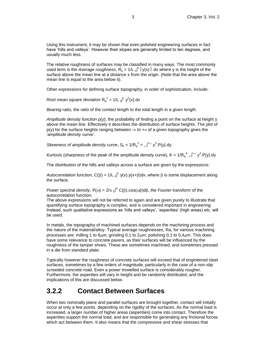Using this instrument, it may be shown that even polished engineering surfaces in fact have 'hills and valleys'. However their slopes are generally limited to ten degrees, and usually much less.

The relative roughness of surfaces may be classified in many ways. The most commonly used term is the *Average roughness*,  $R_a = 1/L_0^{\int L} |y(x)|$ .dx where y is the height of the surface above the mean line at a distance x from the origin. (Note that the area above the mean line is equal to the area below it).

Other expressions for defining surface topography, in order of sophistication, include:

*Root mean square deviation*  $R_q^2 = 1/L_0^2 L_y^2(x)$ .dx

*Bearing ratio,* the ratio of the contact length to the total length in a given length.

*Amplitude density function* p(y), the probability of finding a point on the surface at height y above the mean line. Effectively it describes the distribution of surface heights. The plot of  $p(y)$  for the surface heights ranging between  $=$  to  $+$  of a given topography gives the '*amplitude density curve'*.

*Skewness of amplitude density curve*,  $S_k = 1/R_q^3 = \sqrt{1 + \omega} y^3$ . P(y). dy

*Kurtosis* (sharpness of the peak of the amplitude density curve), K =  $1/R_q^4$  of  $y^4$ . P(y).dy

The distribution of the hills and valleys across a surface are given by the expressions:

Autocorrelation function,  $C(\beta) = 1/L_0^{L} y(x) . y(x+\beta)dx$ , where  $\beta$  is some displacement along the surface.

*Power spectral density*,  $P(\omega) = 2/\pi \int_0^X C(\beta) \cdot \cos(\omega \beta) d\beta$ , the Fourier transform of the autocorrelation function.

The above expressions will not be referred to again and are given purely to illustrate that quantifying surface topography is complex, and is considered important in engineering. Instead, such qualitative expressions as 'hills and valleys', 'asperities' (high areas) etc. will be used.

In metals, the topography of machined surfaces depends on the machining process and the nature of the material/alloy. Typical average roughnesses, Ra, for various machining processes are: milling 1 to 6 $\mu$ m; grinding 0,1 to 2 $\mu$ m; polishing 0,1 to 0,4 $\mu$ m. This does have some relevance to concrete pavers, as their surfaces will be influenced by the roughness of the tamper shoes. These are sometimes machined, and sometimes pressed in a die from standard plate.

Typically however the roughness of concrete surfaces will exceed that of engineered steel surfaces, sometimes by a few orders of magnitude, particularly in the case of a non-slip screeded concrete road. Even a power trowelled surface is considerably rougher. Furthermore, the asperities will vary in height and be randomly distributed, and the implications of this are discussed below.

### **3.2.2 Contact Between Surfaces**

When two nominally plane and parallel surfaces are brought together, contact will initially occur at only a few points, depending on the rigidity of the surfaces. As the normal load is increased, a larger number of higher areas (asperities) come into contact. Therefore the asperities support the normal load, and are responsible for generating any frictional forces which act between them. It also means that the compressive and shear stresses that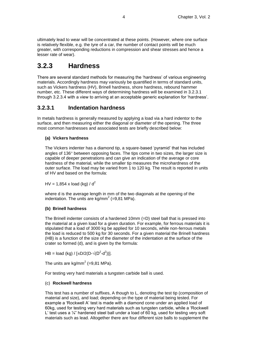ultimately lead to wear will be concentrated at these points. (However, where one surface is relatively flexible, e.g. the tyre of a car, the number of contact points will be much greater, with corresponding reductions in compression and shear stresses and hence a lesser rate of wear).

## **3.2.3 Hardness**

There are several standard methods for measuring the 'hardness' of various engineering materials. Accordingly hardness may variously be quantified in terms of standard units, such as Vickers hardness (HV), Brinell hardness, shore hardness, rebound hammer number, etc. These different ways of determining hardness will be examined in 3.2.3.1 through 3.2.3.4 with a view to arriving at an acceptable generic explanation for 'hardness'.

### **3.2.3.1 Indentation hardness**

In metals hardness is generally measured by applying a load via a hard indentor to the surface, and then measuring either the diagonal or diameter of the opening. The three most common hardnesses and associated tests are briefly described below:

#### **(a) Vickers hardness**

The Vickers indenter has a diamond tip, a square-based 'pyramid' that has included angles of  $136^\circ$  between opposing faces. The tips come in two sizes, the larger size is capable of deeper penetrations and can give an indication of the average or core hardness of the material, while the smaller tip measures the microhardness of the outer surface. The load may be varied from 1 to 120 kg. The result is reported in units of HV and based on the formula:

HV = 1,854 x load (kg) /  $d^2$ 

where d is the average length in mm of the two diagonals at the opening of the indentation. The units are  $kg/mm^2$  (=9,81 MPa).

#### **(b) Brinell hardness**

The Brinell indenter consists of a hardened 10mm (=D) steel ball that is pressed into the material at a given load for a given duration. For example, for ferrous materials it is stipulated that a load of 3000 kg be applied for 10 seconds, while non-ferrous metals the load is reduced to 500 kg for 30 seconds. For a given material the Brinell hardness (HB) is a function of the size of the diameter of the indentation at the surface of the crater so formed (d), and is given by the formula:

HB = load (kg) / [ $\pi$ D/2(D- $\sqrt{(D^2-d^2)}$ ].

The units are kg/mm $^2$  (=9,81 MPa).

For testing very hard materials a tungsten carbide ball is used.

#### (c) **Rockwell hardness**

This test has a number of suffixes, A though to L, denoting the test tip (composition of material and size), and load; depending on the type of material being tested. For example a 'Rockwell A' test is made with a diamond cone under an applied load of 60kg, used for testing very hard materials such as tungsten carbide, while a 'Rockwell L' test uses a 1/4" hardened steel ball under a load of 60 kg, used for testing very soft materials such as lead. Altogether there are four different size balls to supplement the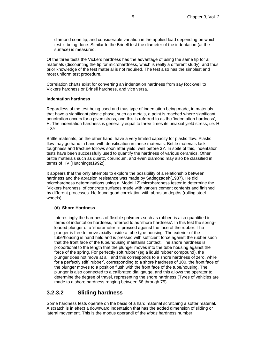diamond cone tip, and considerable variation in the applied load depending on which test is being done. Similar to the Brinell test the diameter of the indentation (at the surface) is measured.

Of the three tests the Vickers hardness has the advantage of using the same tip for all materials (discounting the tip for microhardness, which is really a different study), and thus prior knowledge of the test material is not required. The test also has the simplest and most uniform test procedure.

Correlation charts exist for converting an indentation hardness from say Rockwell to Vickers hardness or Brinell hardness, and vice versa.

#### **Indentation hardness**

Regardless of the test being used and thus type of indentation being made, in materials that have a significant plastic phase, such as metals, a point is reached where significant penetration occurs for a given stress, and this is referred to as the 'indentation hardness', H. The indentation hardness is generally equal to three times its uniaxial yield stress, i.e. H  $= 3Y.$ 

Brittle materials, on the other hand, have a very limited capacity for plastic flow. Plastic flow may go hand in hand with densification in these materials. Brittle materials lack toughness and fracture follows soon after yield, well before 3Y. In spite of this, indentation tests have been successfully used to quantify the hardness of various ceramics. Other brittle materials such as quartz, corundum, and even diamond may also be classified in terms of HV [Hutchings(1992)].

It appears that the only attempts to explore the possibility of a relationship between hardness and the abrasion resistance was made by Sadegzadeh(1987). He did microhardness determinations using a 'Model 12' microhardness tester to determine the 'Vickers hardness' of concrete surfaces made with various cement contents and finished by different processes. He found good correlation with abrasion depths (rolling steel wheels).

#### **(d) Shore Hardness**

Interestingly the hardness of flexible polymers such as rubber, is also quantified in terms of indentation hardness, referred to as 'shore hardness'. In this test the springloaded plunger of a 'shoremeter' is pressed against the face of the rubber. The plunger is free to move axially inside a tube type housing. The exterior of the tube/housing is hand held and is pressed with sufficient force against the rubber such that the front face of the tube/housing maintains contact. The shore hardness is proportional to the length that the plunger moves into the tube housing against the force of the spring. For perfectly soft rubber (eg a liquid rubber compound), the plunger does not move at all, and this corresponds to a shore hardness of zero, while for a perfectly stiff 'rubber', corresponding to a shore hardness of 100, the front face of the plunger moves to a position flush with the front face of the tube/housing. The plunger is also connected to a calibrated dial gauge, and this allows the operator to determine the degree of travel, representing the shore hardness.(Tyres of vehicles are made to a shore hardness ranging between 68 through 75).

### **3.2.3.2 Sliding hardness**

Some hardness tests operate on the basis of a hard material scratching a softer material. A scratch is in effect a downward indentation that has the added dimension of sliding or lateral movement. This is the modus operandi of the *Mohs* hardness number.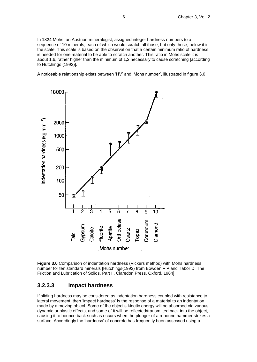In 1824 Mohs, an Austrian mineralogist, assigned integer hardness numbers to a sequence of 10 minerals, each of which would scratch all those, but only those, below it in the scale. This scale is based on the observation that a certain minimum ratio of hardness is needed for one material to be able to scratch another. This ratio in Mohs scale it is about 1,6, rather higher than the minimum of 1,2 necessary to cause scratching [according to Hutchings (1992)].

A noticeable relationship exists between 'HV' and 'Mohs number', illustrated in figure 3.0.



**Figure 3.0** Comparison of indentation hardness (Vickers method) with Mohs hardness number for ten standard minerals [Hutchings(1992) from Bowden F P and Tabor D, The Friction and Lubrication of Solids, Part II, Claredon Press, Oxford, 1964]

#### **3.2.3.3 Impact hardness**

If sliding hardness may be considered as indentation hardness coupled with resistance to lateral movement, then 'impact hardness' is the response of a material to an indentation made by a moving object. Some of the object's kinetic energy will be absorbed via various dynamic or plastic effects, and some of it will be reflected/transmitted back into the object, causing it to bounce back such as occurs when the plunger of a rebound hammer strikes a surface. Accordingly the 'hardness' of concrete has frequently been assessed using a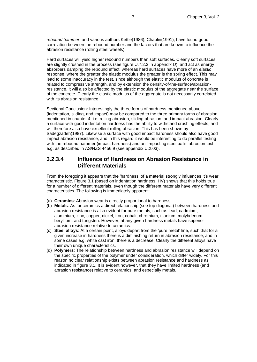*rebound hammer*, and various authors Kettle(1986), Chaplin(1991), have found good correlation between the rebound number and the factors that are known to influence the abrasion resistance (rolling steel wheels).

Hard surfaces will yield higher rebound numbers than soft surfaces. Clearly soft surfaces are slightly crushed in the process (see figure U.7.2.3 in appendix U), and act as energy absorbers damping the rebound effect, whereas hard surfaces have more of an *elastic* response, where the greater the elastic modulus the greater is the spring effect. This may lead to some inaccuracy in the test, since although the elastic modulus of concrete is related to compressive strength, and by extension the density-of-the-surface/abrasionresistance, it will also be affected by the elastic modulus of the aggregate near the surface of the concrete. Clearly the elastic modulus of the aggregate is not necessarily correlated with its abrasion resistance.

Sectional Conclusion: Interestingly the three forms of hardness mentioned above, (indentation, sliding, and impact) may be compared to the three primary forms of abrasion mentioned in chapter 4, i.e. rolling abrasion, sliding abrasion, and impact abrasion. Clearly a surface with good indentation hardness has the ability to withstand crushing effects, and will therefore also have excellent rolling abrasion. This has been shown by Sadegzadeh(1987). Likewise a surface with good impact hardness should also have good impact abrasion resistance, and in this regard it would be interesting to do parallel testing with the rebound hammer (impact hardness) and an 'impacting steel balls' abrasion test, e.g. as described in AS/NZS 4456.9 (see appendix U.2.03).

### **3.2.3.4 Influence of Hardness on Abrasion Resistance in Different Materials**

From the foregoing it appears that the 'hardness' of a material strongly influences it's wear characteristic. Figure 3.1 (based on indentation hardness, HV) shows that this holds true for a number of different materials, even though the different materials have very different characteristics. The following is immediately apparent:

- (a) **Ceramics**: Abrasion wear is directly proportional to hardness.
- (b) **Metals**: As for ceramics a direct relationship (see top diagonal) between hardness and abrasion resistance is also evident for pure metals, such as lead, cadmium, aluminium, zinc, copper, nickel, iron, cobalt, chromium, titanium, molybdenum, beryllium, and tungsten. However, at any given hardness metals have superior abrasion resistance relative to ceramics.
- (c) **Steel alloys**: At a certain point, alloys depart from the 'pure metal' line, such that for a given increase in hardness there is a diminishing return in abrasion resistance, and in some cases e.g. white cast iron, there is a decrease. Clearly the different alloys have their own unique characteristics.
- (d) **Polymers**: The relationship between hardness and abrasion resistance will depend on the specific properties of the polymer under consideration, which differ widely. For this reason no clear relationship exists between abrasion resistance and hardness as indicated in figure 3.1. It is evident however, that they have limited hardness (and abrasion resistance) relative to ceramics, and especially metals.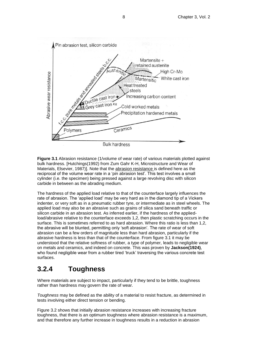

**Figure 3.1** Abrasion resistance (1/volume of wear rate) of various materials plotted against bulk hardness. [Hutchings(1992) from Zum Gahr K-H, Microstructure and Wear of Materials, Elsevier, 1987)]. Note that the abrasion resistance is defined here as the reciprocal of the volume wear rate in a 'pin abrasion test'. This test involves a small cylinder (i.e. the specimen) being pressed against a large revolving disc with silicon carbide in between as the abrading medium.

The hardness of the applied load relative to that of the counterface largely influences the rate of abrasion. The 'applied load' may be very hard as in the diamond tip of a Vickers indenter, or very soft as in a pneumatic rubber tyre, or intermediate as in steel wheels. The applied load may also be an abrasive such as grains of silica sand beneath traffic or silicon carbide in an abrasion test. As inferred earlier, if the hardness of the appliedload/abrasive relative to the counterface exceeds 1,2, then plastic scratching occurs in the surface. This is sometimes referred to as hard abrasion. Where this ratio is less than 1,2, the abrasive will be blunted, permitting only 'soft abrasion'. The rate of wear of soft abrasion can be a few orders of magnitude less than hard abrasion, particularly if the abrasive hardness is less than that of the counterface. From figure 3.1 it may be understood that the relative softness of rubber, a type of polymer, leads to negligible wear on metals and ceramics, and indeed on concrete. This was proven by **Jackson(1924)**, who found negligible wear from a rubber tired 'truck' traversing the various concrete test surfaces.

## **3.2.4 Toughness**

Where materials are subject to impact, particularly if they tend to be brittle, toughness rather than hardness may govern the rate of wear.

*Toughness* may be defined as the ability of a material to resist fracture, as determined in tests involving either direct tension or bending.

Figure 3.2 shows that initially abrasion resistance increases with increasing fracture toughness, that there is an optimum toughness where abrasion resistance is a maximum, and that therefore any further increase in toughness results in a reduction in abrasion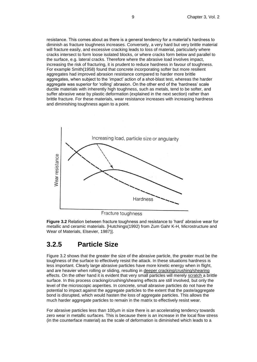resistance. This comes about as there is a general tendency for a material's hardness to diminish as fracture toughness increases. Conversely, a very hard but very brittle material will fracture easily, and excessive cracking leads to loss of material, particularly where cracks intersect to form loose isolated blocks, or where cracks form below and parallel to the surface, e.g. lateral cracks. Therefore where the abrasive load involves impact, increasing the risk of fracturing, it is prudent to reduce hardness in favour of toughness. For example Smith(1958) found that concrete incorporating softer but more resilient aggregates had improved abrasion resistance compared to harder more brittle aggregates, when subject to the 'impact' action of a shot-blast test, whereas the harder aggregate was superior for 'rolling' abrasion. On the other end of the 'hardness' scale ductile materials with inherently high toughness, such as metals, tend to be softer, and suffer abrasive wear by plastic deformation (explained in the next section) rather than brittle fracture. For these materials, wear resistance increases with increasing hardness and diminishing toughness again to a point.



Fracture toughness

**Figure 3.2** Relation between fracture toughness and resistance to 'hard' abrasive wear for metallic and ceramic materials. [Hutchings(1992) from Zum Gahr K-H, Microstructure and Wear of Materials, Elsevier, 1987)].

## **3.2.5 Particle Size**

Figure 3.2 shows that the greater the size of the abrasive particle, the greater must be the toughness of the surface to effectively resist the attack. In these situations hardness is less important. Clearly large abrasive particles have more kinetic energy when in flight, and are heavier when rolling or sliding, resulting in deeper cracking/crushing/shearing effects. On the other hand it is evident that very small particles will merely scratch a brittle surface. In this process cracking/crushing/shearing effects are still involved, but only the level of the microscopic asperities. In concrete, small abrasive particles do not have the potential to impact against the aggregate particles to the extent that the paste/aggregate bond is disrupted, which would hasten the loss of aggregate particles. This allows the much harder aggregate particles to remain in the matrix to effectively resist wear.

For abrasive particles less than 100µm in size there is an accelerating tendency towards zero wear in metallic surfaces. This is because there is an increase in the local flow stress (in the counterface material) as the scale of deformation is diminished which leads to a